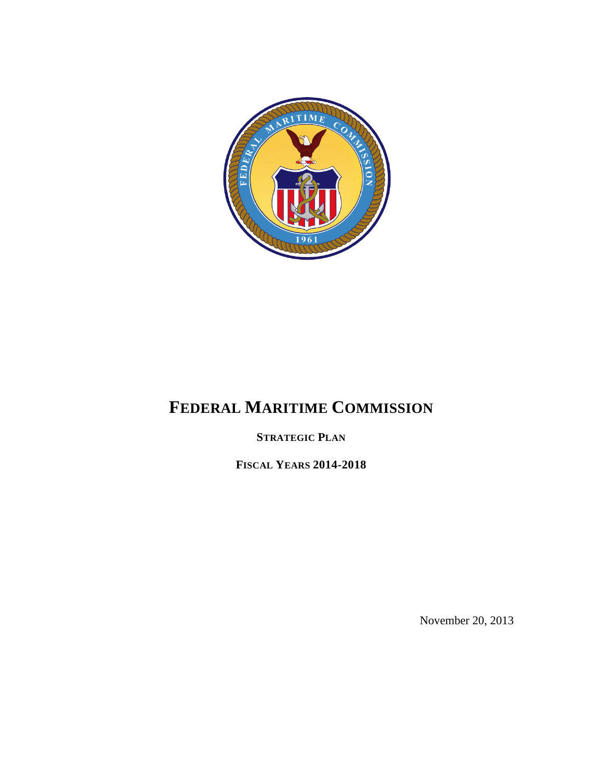

# **FEDERAL MARITIME COMMISSION**

**STRATEGIC PLAN**

**FISCAL YEARS 2014-2018**

November 20, 2013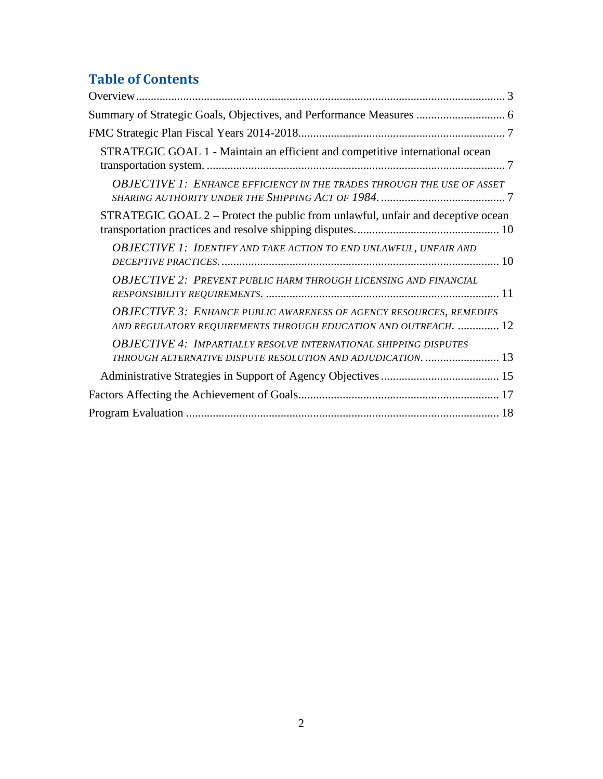## **Table of Contents**

| Summary of Strategic Goals, Objectives, and Performance Measures  6                                                                           |
|-----------------------------------------------------------------------------------------------------------------------------------------------|
|                                                                                                                                               |
| STRATEGIC GOAL 1 - Maintain an efficient and competitive international ocean                                                                  |
| <b>OBJECTIVE 1: ENHANCE EFFICIENCY IN THE TRADES THROUGH THE USE OF ASSET</b>                                                                 |
| STRATEGIC GOAL 2 – Protect the public from unlawful, unfair and deceptive ocean                                                               |
| <b>OBJECTIVE 1: IDENTIFY AND TAKE ACTION TO END UNLAWFUL, UNFAIR AND</b>                                                                      |
| <b>OBJECTIVE 2: PREVENT PUBLIC HARM THROUGH LICENSING AND FINANCIAL</b>                                                                       |
| <b>OBJECTIVE 3: ENHANCE PUBLIC AWARENESS OF AGENCY RESOURCES, REMEDIES</b><br>AND REGULATORY REQUIREMENTS THROUGH EDUCATION AND OUTREACH.  12 |
| <b>OBJECTIVE 4: IMPARTIALLY RESOLVE INTERNATIONAL SHIPPING DISPUTES</b><br>THROUGH ALTERNATIVE DISPUTE RESOLUTION AND ADJUDICATION.  13       |
|                                                                                                                                               |
|                                                                                                                                               |
|                                                                                                                                               |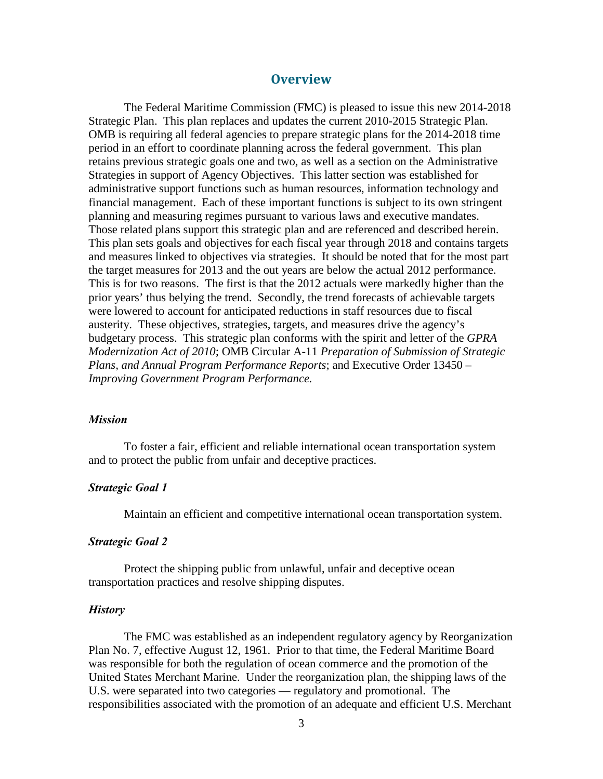## **Overview**

<span id="page-2-0"></span>The Federal Maritime Commission (FMC) is pleased to issue this new 2014-2018 Strategic Plan. This plan replaces and updates the current 2010-2015 Strategic Plan. OMB is requiring all federal agencies to prepare strategic plans for the 2014-2018 time period in an effort to coordinate planning across the federal government. This plan retains previous strategic goals one and two, as well as a section on the Administrative Strategies in support of Agency Objectives. This latter section was established for administrative support functions such as human resources, information technology and financial management. Each of these important functions is subject to its own stringent planning and measuring regimes pursuant to various laws and executive mandates. Those related plans support this strategic plan and are referenced and described herein. This plan sets goals and objectives for each fiscal year through 2018 and contains targets and measures linked to objectives via strategies. It should be noted that for the most part the target measures for 2013 and the out years are below the actual 2012 performance. This is for two reasons. The first is that the 2012 actuals were markedly higher than the prior years' thus belying the trend. Secondly, the trend forecasts of achievable targets were lowered to account for anticipated reductions in staff resources due to fiscal austerity. These objectives, strategies, targets, and measures drive the agency's budgetary process. This strategic plan conforms with the spirit and letter of the *GPRA Modernization Act of 2010*; OMB Circular A-11 *Preparation of Submission of Strategic Plans, and Annual Program Performance Reports*; and Executive Order 13450 – *Improving Government Program Performance.* 

#### *Mission*

To foster a fair, efficient and reliable international ocean transportation system and to protect the public from unfair and deceptive practices.

#### *Strategic Goal 1*

Maintain an efficient and competitive international ocean transportation system.

#### *Strategic Goal 2*

Protect the shipping public from unlawful, unfair and deceptive ocean transportation practices and resolve shipping disputes.

#### *History*

 The FMC was established as an independent regulatory agency by Reorganization Plan No. 7, effective August 12, 1961. Prior to that time, the Federal Maritime Board was responsible for both the regulation of ocean commerce and the promotion of the United States Merchant Marine. Under the reorganization plan, the shipping laws of the U.S. were separated into two categories — regulatory and promotional. The responsibilities associated with the promotion of an adequate and efficient U.S. Merchant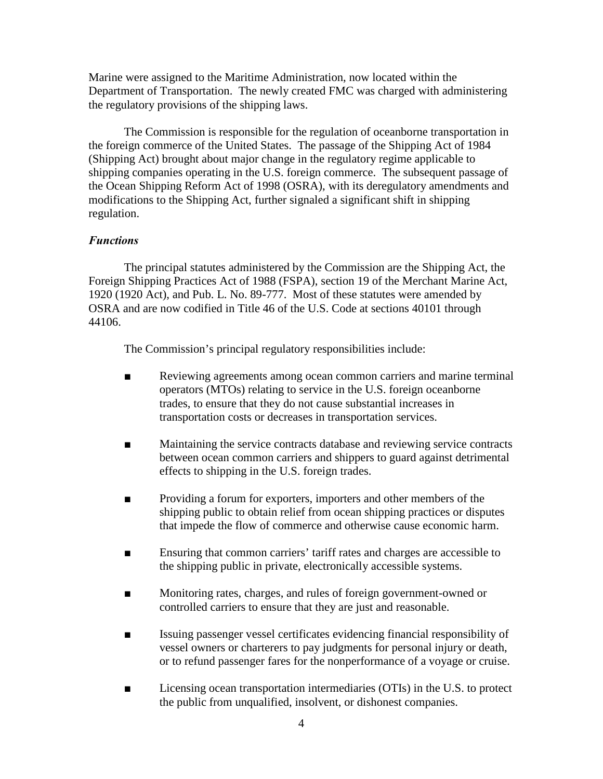Marine were assigned to the Maritime Administration, now located within the Department of Transportation. The newly created FMC was charged with administering the regulatory provisions of the shipping laws.

The Commission is responsible for the regulation of oceanborne transportation in the foreign commerce of the United States. The passage of the Shipping Act of 1984 (Shipping Act) brought about major change in the regulatory regime applicable to shipping companies operating in the U.S. foreign commerce. The subsequent passage of the Ocean Shipping Reform Act of 1998 (OSRA), with its deregulatory amendments and modifications to the Shipping Act, further signaled a significant shift in shipping regulation.

## *Functions*

The principal statutes administered by the Commission are the Shipping Act, the Foreign Shipping Practices Act of 1988 (FSPA), section 19 of the Merchant Marine Act, 1920 (1920 Act), and Pub. L. No. 89-777. Most of these statutes were amended by OSRA and are now codified in Title 46 of the U.S. Code at sections 40101 through 44106.

The Commission's principal regulatory responsibilities include:

- Reviewing agreements among ocean common carriers and marine terminal operators (MTOs) relating to service in the U.S. foreign oceanborne trades, to ensure that they do not cause substantial increases in transportation costs or decreases in transportation services.
- Maintaining the service contracts database and reviewing service contracts between ocean common carriers and shippers to guard against detrimental effects to shipping in the U.S. foreign trades.
- Providing a forum for exporters, importers and other members of the shipping public to obtain relief from ocean shipping practices or disputes that impede the flow of commerce and otherwise cause economic harm.
- Ensuring that common carriers' tariff rates and charges are accessible to the shipping public in private, electronically accessible systems.
- Monitoring rates, charges, and rules of foreign government-owned or controlled carriers to ensure that they are just and reasonable.
- Issuing passenger vessel certificates evidencing financial responsibility of vessel owners or charterers to pay judgments for personal injury or death, or to refund passenger fares for the nonperformance of a voyage or cruise.
- Licensing ocean transportation intermediaries (OTIs) in the U.S. to protect the public from unqualified, insolvent, or dishonest companies.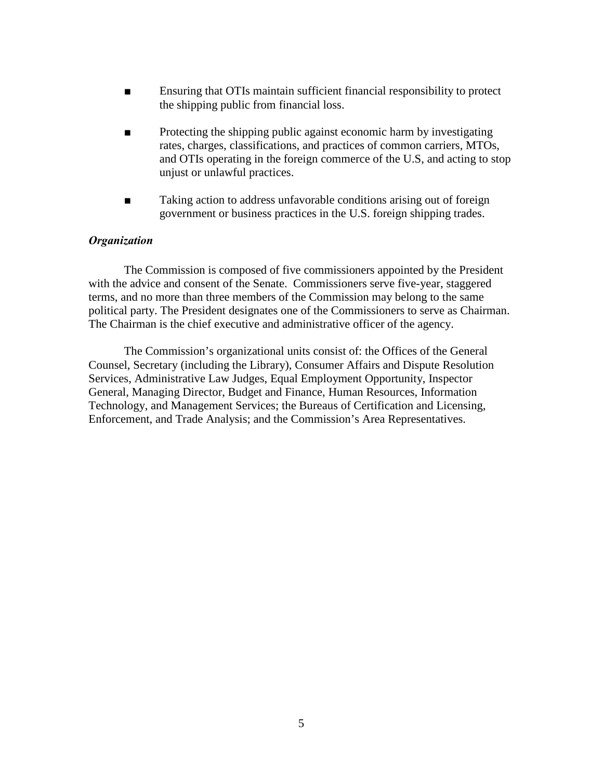- Ensuring that OTIs maintain sufficient financial responsibility to protect the shipping public from financial loss.
- Protecting the shipping public against economic harm by investigating rates, charges, classifications, and practices of common carriers, MTOs, and OTIs operating in the foreign commerce of the U.S, and acting to stop unjust or unlawful practices.
- Taking action to address unfavorable conditions arising out of foreign government or business practices in the U.S. foreign shipping trades.

#### *Organization*

 The Commission is composed of five commissioners appointed by the President with the advice and consent of the Senate. Commissioners serve five-year, staggered terms, and no more than three members of the Commission may belong to the same political party. The President designates one of the Commissioners to serve as Chairman. The Chairman is the chief executive and administrative officer of the agency.

 The Commission's organizational units consist of: the Offices of the General Counsel, Secretary (including the Library), Consumer Affairs and Dispute Resolution Services, Administrative Law Judges, Equal Employment Opportunity, Inspector General, Managing Director, Budget and Finance, Human Resources, Information Technology, and Management Services; the Bureaus of Certification and Licensing, Enforcement, and Trade Analysis; and the Commission's Area Representatives.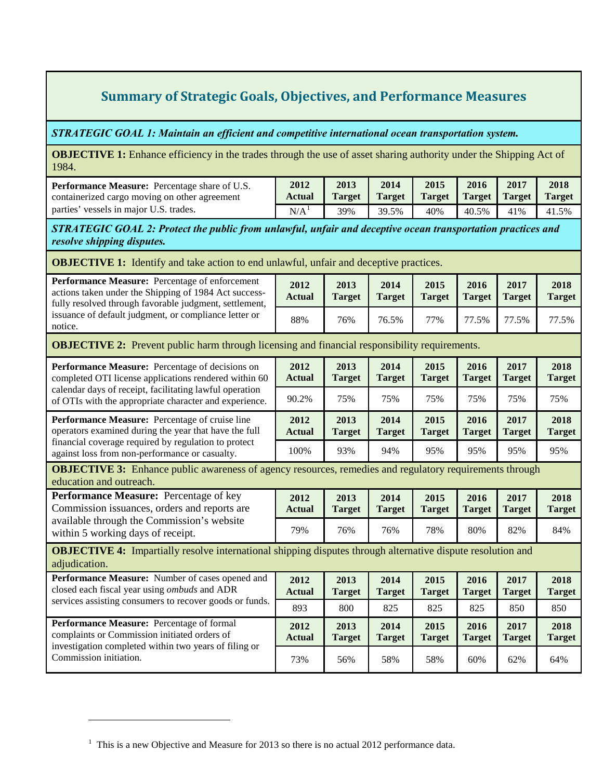## **Summary of Strategic Goals, Objectives, and Performance Measures**

## <span id="page-5-0"></span>*STRATEGIC GOAL 1: Maintain an efficient and competitive international ocean transportation system.*

**OBJECTIVE 1:** Enhance efficiency in the trades through the use of asset sharing authority under the Shipping Act of 1984.

| <b>Performance Measure:</b> Percentage share of U.S.<br>containerized cargo moving on other agreement | 2012<br>Actual   | 2013<br><b>Target</b> | 2014<br><b>Target</b> | 2015 | 2016  | 2017<br>Target Target Target | 2018<br><b>Target</b> |
|-------------------------------------------------------------------------------------------------------|------------------|-----------------------|-----------------------|------|-------|------------------------------|-----------------------|
| parties' vessels in major U.S. trades.                                                                | N/A <sup>T</sup> | 39%                   | 39.5%                 | 40%  | 40.5% | 41%                          | 41.5%                 |

*STRATEGIC GOAL 2: Protect the public from unlawful, unfair and deceptive ocean transportation practices and resolve shipping disputes.*

**OBJECTIVE 1:** Identify and take action to end unlawful, unfair and deceptive practices.

| Performance Measure: Percentage of enforcement<br>actions taken under the Shipping of 1984 Act success-<br>fully resolved through favorable judgment, settlement,<br>issuance of default judgment, or compliance letter or<br>notice. | 2012<br><b>Actual</b> | 2013<br><b>Target</b> | 2014<br><b>Target</b> | 2015<br><b>Target</b> | 2016<br><b>Target</b> | 2017<br><b>Target</b> | 2018<br><b>Target</b> |  |  |  |  |
|---------------------------------------------------------------------------------------------------------------------------------------------------------------------------------------------------------------------------------------|-----------------------|-----------------------|-----------------------|-----------------------|-----------------------|-----------------------|-----------------------|--|--|--|--|
|                                                                                                                                                                                                                                       | 88%                   | 76%                   | 76.5%                 | 77%                   | 77.5%                 | 77.5%                 | 77.5%                 |  |  |  |  |
| <b>OBJECTIVE 2:</b> Prevent public harm through licensing and financial responsibility requirements.                                                                                                                                  |                       |                       |                       |                       |                       |                       |                       |  |  |  |  |
| Performance Measure: Percentage of decisions on<br>completed OTI license applications rendered within 60<br>calendar days of receipt, facilitating lawful operation<br>of OTIs with the appropriate character and experience.         | 2012<br><b>Actual</b> | 2013<br><b>Target</b> | 2014<br><b>Target</b> | 2015<br><b>Target</b> | 2016<br><b>Target</b> | 2017<br><b>Target</b> | 2018<br><b>Target</b> |  |  |  |  |
|                                                                                                                                                                                                                                       | 90.2%                 | 75%                   | 75%                   | 75%                   | 75%                   | 75%                   | 75%                   |  |  |  |  |
| Performance Measure: Percentage of cruise line<br>operators examined during the year that have the full<br>financial coverage required by regulation to protect<br>against loss from non-performance or casualty.                     | 2012<br><b>Actual</b> | 2013<br><b>Target</b> | 2014<br><b>Target</b> | 2015<br><b>Target</b> | 2016<br><b>Target</b> | 2017<br><b>Target</b> | 2018<br><b>Target</b> |  |  |  |  |
|                                                                                                                                                                                                                                       | 100%                  | 93%                   | 94%                   | 95%                   | 95%                   | 95%                   | 95%                   |  |  |  |  |
| <b>OBJECTIVE 3:</b> Enhance public awareness of agency resources, remedies and regulatory requirements through<br>education and outreach.                                                                                             |                       |                       |                       |                       |                       |                       |                       |  |  |  |  |
| Performance Measure: Percentage of key<br>Commission issuances, orders and reports are<br>available through the Commission's website<br>within 5 working days of receipt.                                                             | 2012<br><b>Actual</b> | 2013<br><b>Target</b> | 2014<br><b>Target</b> | 2015<br><b>Target</b> | 2016<br><b>Target</b> | 2017<br><b>Target</b> | 2018<br><b>Target</b> |  |  |  |  |
|                                                                                                                                                                                                                                       | 79%                   | 76%                   | 76%                   | 78%                   | 80%                   | 82%                   | 84%                   |  |  |  |  |
| <b>OBJECTIVE 4:</b> Impartially resolve international shipping disputes through alternative dispute resolution and<br>adjudication.                                                                                                   |                       |                       |                       |                       |                       |                       |                       |  |  |  |  |
| Performance Measure: Number of cases opened and<br>closed each fiscal year using ombuds and ADR<br>services assisting consumers to recover goods or funds.                                                                            | 2012<br><b>Actual</b> | 2013<br><b>Target</b> | 2014<br><b>Target</b> | 2015<br><b>Target</b> | 2016<br><b>Target</b> | 2017<br><b>Target</b> | 2018<br><b>Target</b> |  |  |  |  |
|                                                                                                                                                                                                                                       | 893                   | 800                   | 825                   | 825                   | 825                   | 850                   | 850                   |  |  |  |  |
| Performance Measure: Percentage of formal<br>complaints or Commission initiated orders of<br>investigation completed within two years of filing or<br>Commission initiation.                                                          | 2012<br><b>Actual</b> | 2013<br><b>Target</b> | 2014<br><b>Target</b> | 2015<br><b>Target</b> | 2016<br><b>Target</b> | 2017<br><b>Target</b> | 2018<br><b>Target</b> |  |  |  |  |
|                                                                                                                                                                                                                                       | 73%                   | 56%                   | 58%                   | 58%                   | 60%                   | 62%                   | 64%                   |  |  |  |  |

 $\overline{a}$ 

<span id="page-5-1"></span> $<sup>1</sup>$  This is a new Objective and Measure for 2013 so there is no actual 2012 performance data.</sup>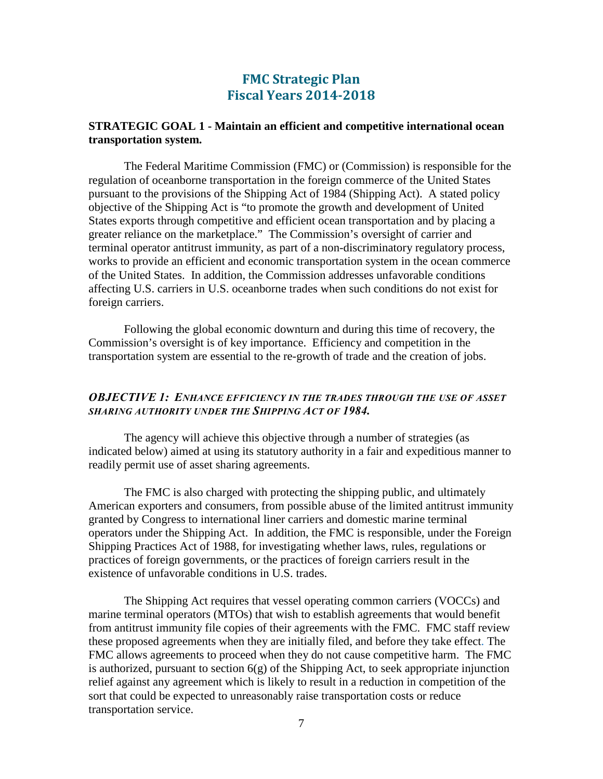## **FMC Strategic Plan Fiscal Years 2014-2018**

#### <span id="page-6-1"></span><span id="page-6-0"></span>**STRATEGIC GOAL 1 - Maintain an efficient and competitive international ocean transportation system.**

The Federal Maritime Commission (FMC) or (Commission) is responsible for the regulation of oceanborne transportation in the foreign commerce of the United States pursuant to the provisions of the Shipping Act of 1984 (Shipping Act). A stated policy objective of the Shipping Act is "to promote the growth and development of United States exports through competitive and efficient ocean transportation and by placing a greater reliance on the marketplace." The Commission's oversight of carrier and terminal operator antitrust immunity, as part of a non-discriminatory regulatory process, works to provide an efficient and economic transportation system in the ocean commerce of the United States. In addition, the Commission addresses unfavorable conditions affecting U.S. carriers in U.S. oceanborne trades when such conditions do not exist for foreign carriers.

 Following the global economic downturn and during this time of recovery, the Commission's oversight is of key importance. Efficiency and competition in the transportation system are essential to the re-growth of trade and the creation of jobs.

#### <span id="page-6-2"></span>*OBJECTIVE 1: ENHANCE EFFICIENCY IN THE TRADES THROUGH THE USE OF ASSET SHARING AUTHORITY UNDER THE SHIPPING ACT OF 1984.*

The agency will achieve this objective through a number of strategies (as indicated below) aimed at using its statutory authority in a fair and expeditious manner to readily permit use of asset sharing agreements.

The FMC is also charged with protecting the shipping public, and ultimately American exporters and consumers, from possible abuse of the limited antitrust immunity granted by Congress to international liner carriers and domestic marine terminal operators under the Shipping Act. In addition, the FMC is responsible, under the Foreign Shipping Practices Act of 1988, for investigating whether laws, rules, regulations or practices of foreign governments, or the practices of foreign carriers result in the existence of unfavorable conditions in U.S. trades.

 The Shipping Act requires that vessel operating common carriers (VOCCs) and marine terminal operators (MTOs) that wish to establish agreements that would benefit from antitrust immunity file copies of their agreements with the FMC. FMC staff review these proposed agreements when they are initially filed, and before they take effect. The FMC allows agreements to proceed when they do not cause competitive harm. The FMC is authorized, pursuant to section  $6(g)$  of the Shipping Act, to seek appropriate injunction relief against any agreement which is likely to result in a reduction in competition of the sort that could be expected to unreasonably raise transportation costs or reduce transportation service.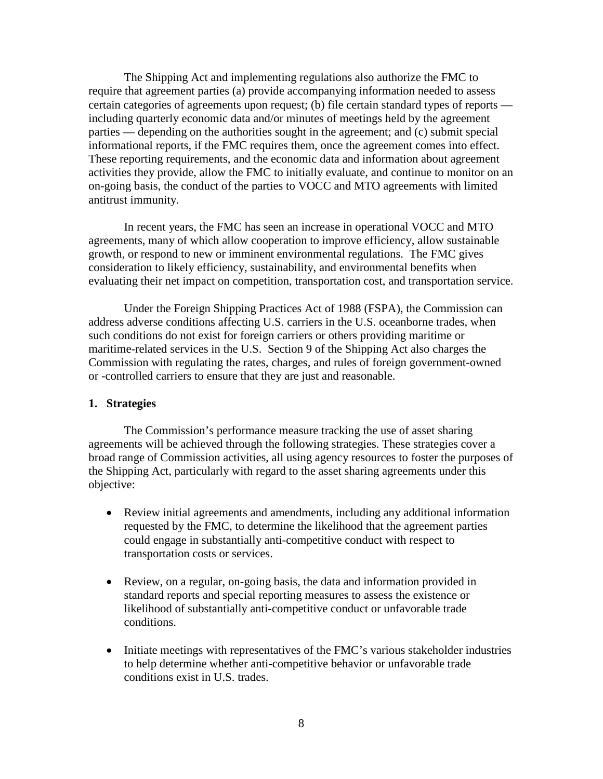The Shipping Act and implementing regulations also authorize the FMC to require that agreement parties (a) provide accompanying information needed to assess certain categories of agreements upon request; (b) file certain standard types of reports including quarterly economic data and/or minutes of meetings held by the agreement parties — depending on the authorities sought in the agreement; and (c) submit special informational reports, if the FMC requires them, once the agreement comes into effect. These reporting requirements, and the economic data and information about agreement activities they provide, allow the FMC to initially evaluate, and continue to monitor on an on-going basis, the conduct of the parties to VOCC and MTO agreements with limited antitrust immunity.

In recent years, the FMC has seen an increase in operational VOCC and MTO agreements, many of which allow cooperation to improve efficiency, allow sustainable growth, or respond to new or imminent environmental regulations. The FMC gives consideration to likely efficiency, sustainability, and environmental benefits when evaluating their net impact on competition, transportation cost, and transportation service.

 Under the Foreign Shipping Practices Act of 1988 (FSPA), the Commission can address adverse conditions affecting U.S. carriers in the U.S. oceanborne trades, when such conditions do not exist for foreign carriers or others providing maritime or maritime-related services in the U.S. Section 9 of the Shipping Act also charges the Commission with regulating the rates, charges, and rules of foreign government-owned or -controlled carriers to ensure that they are just and reasonable.

#### **1. Strategies**

The Commission's performance measure tracking the use of asset sharing agreements will be achieved through the following strategies. These strategies cover a broad range of Commission activities, all using agency resources to foster the purposes of the Shipping Act, particularly with regard to the asset sharing agreements under this objective:

- Review initial agreements and amendments, including any additional information requested by the FMC, to determine the likelihood that the agreement parties could engage in substantially anti-competitive conduct with respect to transportation costs or services.
- Review, on a regular, on-going basis, the data and information provided in standard reports and special reporting measures to assess the existence or likelihood of substantially anti-competitive conduct or unfavorable trade conditions.
- Initiate meetings with representatives of the FMC's various stakeholder industries to help determine whether anti-competitive behavior or unfavorable trade conditions exist in U.S. trades.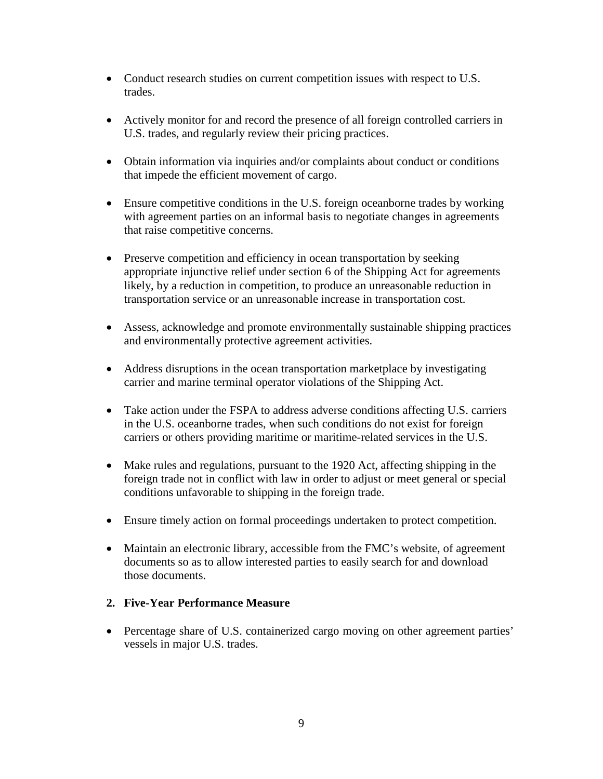- Conduct research studies on current competition issues with respect to U.S. trades.
- Actively monitor for and record the presence of all foreign controlled carriers in U.S. trades, and regularly review their pricing practices.
- Obtain information via inquiries and/or complaints about conduct or conditions that impede the efficient movement of cargo.
- Ensure competitive conditions in the U.S. foreign oceanborne trades by working with agreement parties on an informal basis to negotiate changes in agreements that raise competitive concerns.
- Preserve competition and efficiency in ocean transportation by seeking appropriate injunctive relief under section 6 of the Shipping Act for agreements likely, by a reduction in competition, to produce an unreasonable reduction in transportation service or an unreasonable increase in transportation cost.
- Assess, acknowledge and promote environmentally sustainable shipping practices and environmentally protective agreement activities.
- Address disruptions in the ocean transportation marketplace by investigating carrier and marine terminal operator violations of the Shipping Act.
- Take action under the FSPA to address adverse conditions affecting U.S. carriers in the U.S. oceanborne trades, when such conditions do not exist for foreign carriers or others providing maritime or maritime-related services in the U.S.
- Make rules and regulations, pursuant to the 1920 Act, affecting shipping in the foreign trade not in conflict with law in order to adjust or meet general or special conditions unfavorable to shipping in the foreign trade.
- Ensure timely action on formal proceedings undertaken to protect competition.
- Maintain an electronic library, accessible from the FMC's website, of agreement documents so as to allow interested parties to easily search for and download those documents.

## **2. Five-Year Performance Measure**

• Percentage share of U.S. containerized cargo moving on other agreement parties' vessels in major U.S. trades.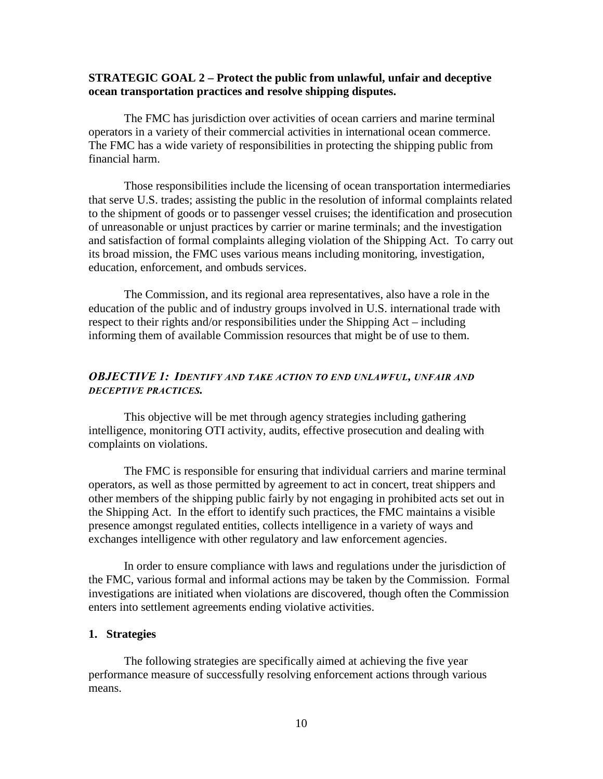#### <span id="page-9-0"></span>**STRATEGIC GOAL 2 – Protect the public from unlawful, unfair and deceptive ocean transportation practices and resolve shipping disputes.**

The FMC has jurisdiction over activities of ocean carriers and marine terminal operators in a variety of their commercial activities in international ocean commerce. The FMC has a wide variety of responsibilities in protecting the shipping public from financial harm.

Those responsibilities include the licensing of ocean transportation intermediaries that serve U.S. trades; assisting the public in the resolution of informal complaints related to the shipment of goods or to passenger vessel cruises; the identification and prosecution of unreasonable or unjust practices by carrier or marine terminals; and the investigation and satisfaction of formal complaints alleging violation of the Shipping Act. To carry out its broad mission, the FMC uses various means including monitoring, investigation, education, enforcement, and ombuds services.

 The Commission, and its regional area representatives, also have a role in the education of the public and of industry groups involved in U.S. international trade with respect to their rights and/or responsibilities under the Shipping Act – including informing them of available Commission resources that might be of use to them.

#### <span id="page-9-1"></span>*OBJECTIVE 1: IDENTIFY AND TAKE ACTION TO END UNLAWFUL, UNFAIR AND DECEPTIVE PRACTICES.*

This objective will be met through agency strategies including gathering intelligence, monitoring OTI activity, audits, effective prosecution and dealing with complaints on violations.

 The FMC is responsible for ensuring that individual carriers and marine terminal operators, as well as those permitted by agreement to act in concert, treat shippers and other members of the shipping public fairly by not engaging in prohibited acts set out in the Shipping Act. In the effort to identify such practices, the FMC maintains a visible presence amongst regulated entities, collects intelligence in a variety of ways and exchanges intelligence with other regulatory and law enforcement agencies.

 In order to ensure compliance with laws and regulations under the jurisdiction of the FMC, various formal and informal actions may be taken by the Commission. Formal investigations are initiated when violations are discovered, though often the Commission enters into settlement agreements ending violative activities.

#### **1. Strategies**

The following strategies are specifically aimed at achieving the five year performance measure of successfully resolving enforcement actions through various means.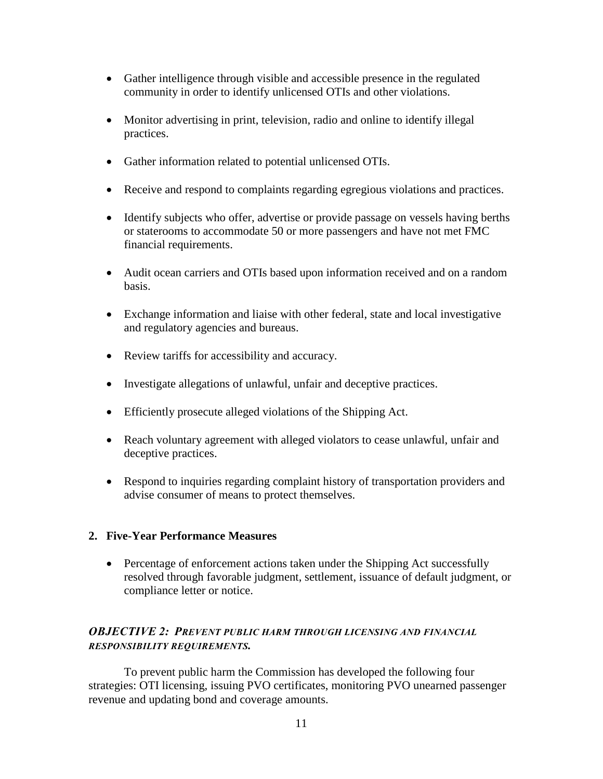- Gather intelligence through visible and accessible presence in the regulated community in order to identify unlicensed OTIs and other violations.
- Monitor advertising in print, television, radio and online to identify illegal practices.
- Gather information related to potential unlicensed OTIs.
- Receive and respond to complaints regarding egregious violations and practices.
- Identify subjects who offer, advertise or provide passage on vessels having berths or staterooms to accommodate 50 or more passengers and have not met FMC financial requirements.
- Audit ocean carriers and OTIs based upon information received and on a random basis.
- Exchange information and liaise with other federal, state and local investigative and regulatory agencies and bureaus.
- Review tariffs for accessibility and accuracy.
- Investigate allegations of unlawful, unfair and deceptive practices.
- Efficiently prosecute alleged violations of the Shipping Act.
- Reach voluntary agreement with alleged violators to cease unlawful, unfair and deceptive practices.
- Respond to inquiries regarding complaint history of transportation providers and advise consumer of means to protect themselves.

## **2. Five-Year Performance Measures**

• Percentage of enforcement actions taken under the Shipping Act successfully resolved through favorable judgment, settlement, issuance of default judgment, or compliance letter or notice.

## <span id="page-10-0"></span>*OBJECTIVE 2: PREVENT PUBLIC HARM THROUGH LICENSING AND FINANCIAL RESPONSIBILITY REQUIREMENTS.*

 To prevent public harm the Commission has developed the following four strategies: OTI licensing, issuing PVO certificates, monitoring PVO unearned passenger revenue and updating bond and coverage amounts.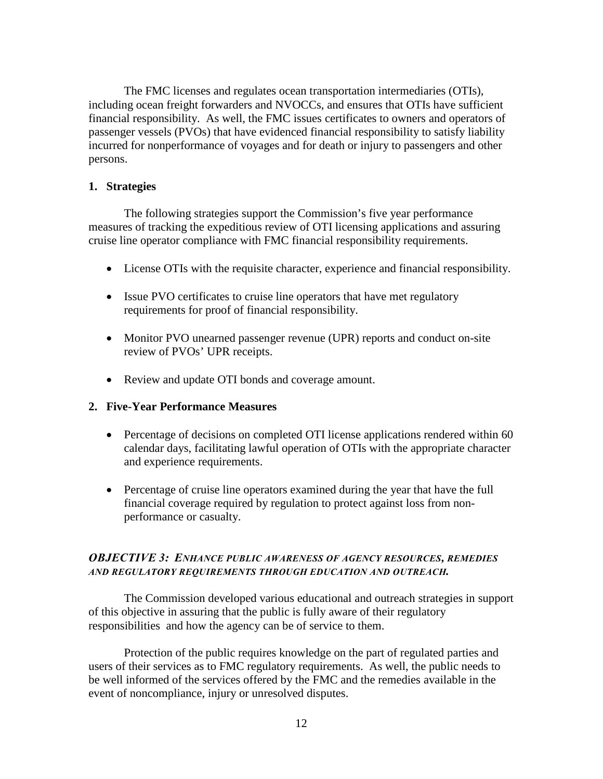The FMC licenses and regulates ocean transportation intermediaries (OTIs), including ocean freight forwarders and NVOCCs, and ensures that OTIs have sufficient financial responsibility. As well, the FMC issues certificates to owners and operators of passenger vessels (PVOs) that have evidenced financial responsibility to satisfy liability incurred for nonperformance of voyages and for death or injury to passengers and other persons.

#### **1. Strategies**

The following strategies support the Commission's five year performance measures of tracking the expeditious review of OTI licensing applications and assuring cruise line operator compliance with FMC financial responsibility requirements.

- License OTIs with the requisite character, experience and financial responsibility.
- Issue PVO certificates to cruise line operators that have met regulatory requirements for proof of financial responsibility.
- Monitor PVO unearned passenger revenue (UPR) reports and conduct on-site review of PVOs' UPR receipts.
- Review and update OTI bonds and coverage amount.

#### **2. Five-Year Performance Measures**

- Percentage of decisions on completed OTI license applications rendered within 60 calendar days, facilitating lawful operation of OTIs with the appropriate character and experience requirements.
- Percentage of cruise line operators examined during the year that have the full financial coverage required by regulation to protect against loss from nonperformance or casualty.

#### <span id="page-11-0"></span>*OBJECTIVE 3: ENHANCE PUBLIC AWARENESS OF AGENCY RESOURCES, REMEDIES AND REGULATORY REQUIREMENTS THROUGH EDUCATION AND OUTREACH.*

 The Commission developed various educational and outreach strategies in support of this objective in assuring that the public is fully aware of their regulatory responsibilities and how the agency can be of service to them.

 Protection of the public requires knowledge on the part of regulated parties and users of their services as to FMC regulatory requirements. As well, the public needs to be well informed of the services offered by the FMC and the remedies available in the event of noncompliance, injury or unresolved disputes.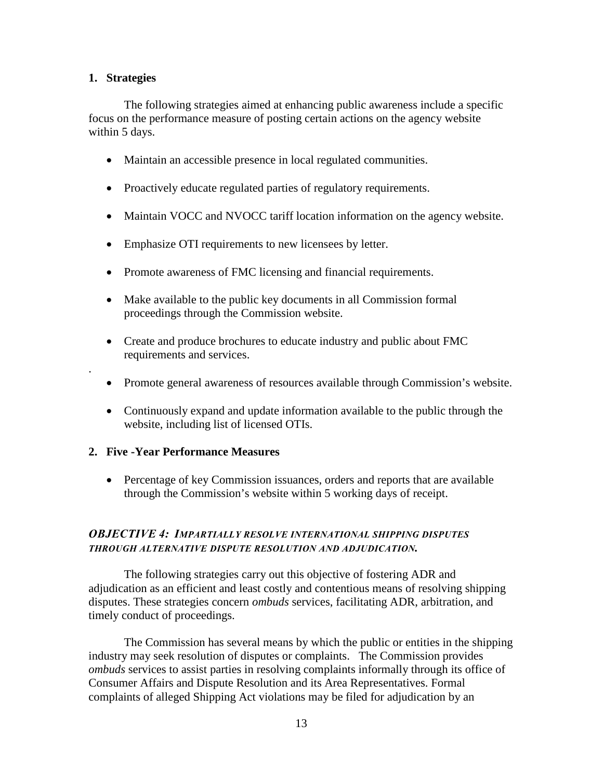#### **1. Strategies**

.

 The following strategies aimed at enhancing public awareness include a specific focus on the performance measure of posting certain actions on the agency website within 5 days.

- Maintain an accessible presence in local regulated communities.
- Proactively educate regulated parties of regulatory requirements.
- Maintain VOCC and NVOCC tariff location information on the agency website.
- Emphasize OTI requirements to new licensees by letter.
- Promote awareness of FMC licensing and financial requirements.
- Make available to the public key documents in all Commission formal proceedings through the Commission website.
- Create and produce brochures to educate industry and public about FMC requirements and services.
- Promote general awareness of resources available through Commission's website.
- Continuously expand and update information available to the public through the website, including list of licensed OTIs.

## **2. Five -Year Performance Measures**

• Percentage of key Commission issuances, orders and reports that are available through the Commission's website within 5 working days of receipt.

## <span id="page-12-0"></span>*OBJECTIVE 4: IMPARTIALLY RESOLVE INTERNATIONAL SHIPPING DISPUTES THROUGH ALTERNATIVE DISPUTE RESOLUTION AND ADJUDICATION.*

The following strategies carry out this objective of fostering ADR and adjudication as an efficient and least costly and contentious means of resolving shipping disputes. These strategies concern *ombuds* services, facilitating ADR, arbitration, and timely conduct of proceedings.

 The Commission has several means by which the public or entities in the shipping industry may seek resolution of disputes or complaints. The Commission provides *ombuds* services to assist parties in resolving complaints informally through its office of Consumer Affairs and Dispute Resolution and its Area Representatives. Formal complaints of alleged Shipping Act violations may be filed for adjudication by an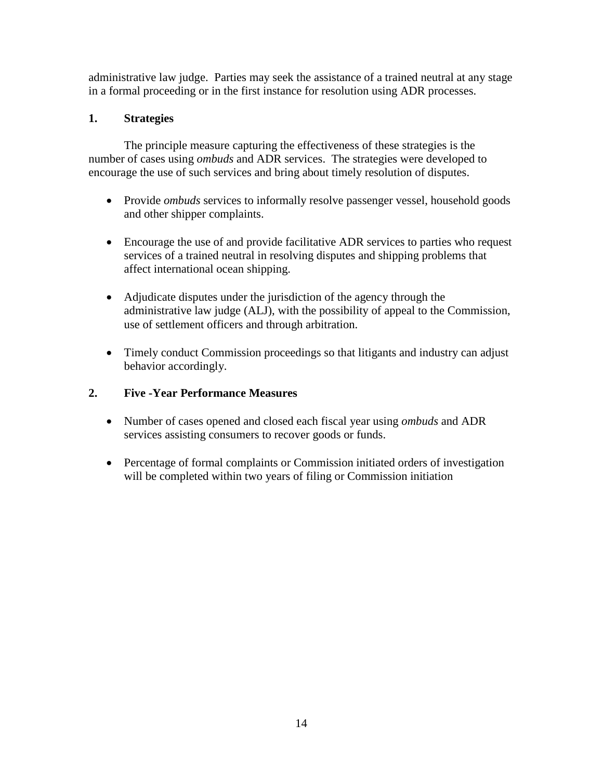administrative law judge. Parties may seek the assistance of a trained neutral at any stage in a formal proceeding or in the first instance for resolution using ADR processes.

## **1. Strategies**

The principle measure capturing the effectiveness of these strategies is the number of cases using *ombuds* and ADR services. The strategies were developed to encourage the use of such services and bring about timely resolution of disputes.

- Provide *ombuds* services to informally resolve passenger vessel, household goods and other shipper complaints.
- Encourage the use of and provide facilitative ADR services to parties who request services of a trained neutral in resolving disputes and shipping problems that affect international ocean shipping.
- Adjudicate disputes under the jurisdiction of the agency through the administrative law judge (ALJ), with the possibility of appeal to the Commission, use of settlement officers and through arbitration.
- Timely conduct Commission proceedings so that litigants and industry can adjust behavior accordingly.

## **2. Five -Year Performance Measures**

- Number of cases opened and closed each fiscal year using *ombuds* and ADR services assisting consumers to recover goods or funds.
- Percentage of formal complaints or Commission initiated orders of investigation will be completed within two years of filing or Commission initiation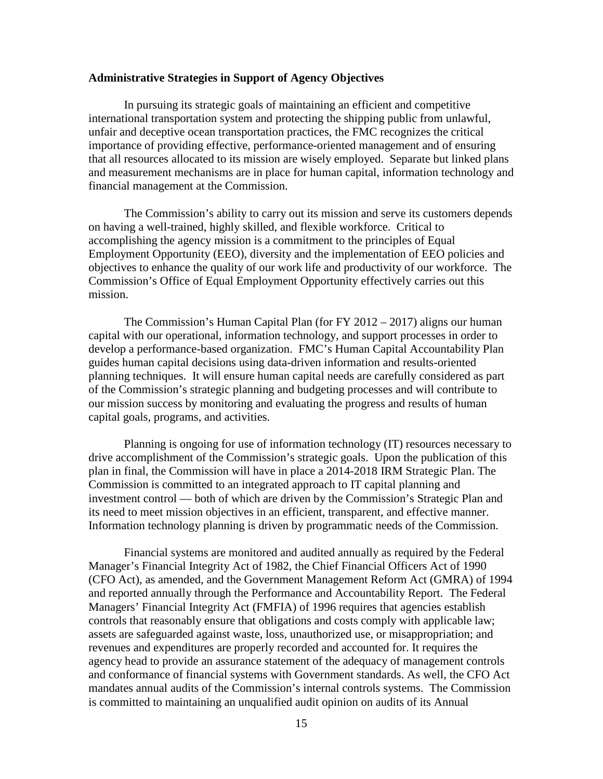#### <span id="page-14-0"></span>**Administrative Strategies in Support of Agency Objectives**

In pursuing its strategic goals of maintaining an efficient and competitive international transportation system and protecting the shipping public from unlawful, unfair and deceptive ocean transportation practices, the FMC recognizes the critical importance of providing effective, performance-oriented management and of ensuring that all resources allocated to its mission are wisely employed. Separate but linked plans and measurement mechanisms are in place for human capital, information technology and financial management at the Commission.

The Commission's ability to carry out its mission and serve its customers depends on having a well-trained, highly skilled, and flexible workforce. Critical to accomplishing the agency mission is a commitment to the principles of Equal Employment Opportunity (EEO), diversity and the implementation of EEO policies and objectives to enhance the quality of our work life and productivity of our workforce. The Commission's Office of Equal Employment Opportunity effectively carries out this mission.

 The Commission's Human Capital Plan (for FY 2012 – 2017) aligns our human capital with our operational, information technology, and support processes in order to develop a performance-based organization. FMC's Human Capital Accountability Plan guides human capital decisions using data-driven information and results-oriented planning techniques. It will ensure human capital needs are carefully considered as part of the Commission's strategic planning and budgeting processes and will contribute to our mission success by monitoring and evaluating the progress and results of human capital goals, programs, and activities.

 Planning is ongoing for use of information technology (IT) resources necessary to drive accomplishment of the Commission's strategic goals. Upon the publication of this plan in final, the Commission will have in place a 2014-2018 IRM Strategic Plan. The Commission is committed to an integrated approach to IT capital planning and investment control — both of which are driven by the Commission's Strategic Plan and its need to meet mission objectives in an efficient, transparent, and effective manner. Information technology planning is driven by programmatic needs of the Commission.

Financial systems are monitored and audited annually as required by the Federal Manager's Financial Integrity Act of 1982, the Chief Financial Officers Act of 1990 (CFO Act), as amended, and the Government Management Reform Act (GMRA) of 1994 and reported annually through the Performance and Accountability Report. The Federal Managers' Financial Integrity Act (FMFIA) of 1996 requires that agencies establish controls that reasonably ensure that obligations and costs comply with applicable law; assets are safeguarded against waste, loss, unauthorized use, or misappropriation; and revenues and expenditures are properly recorded and accounted for. It requires the agency head to provide an assurance statement of the adequacy of management controls and conformance of financial systems with Government standards. As well, the CFO Act mandates annual audits of the Commission's internal controls systems. The Commission is committed to maintaining an unqualified audit opinion on audits of its Annual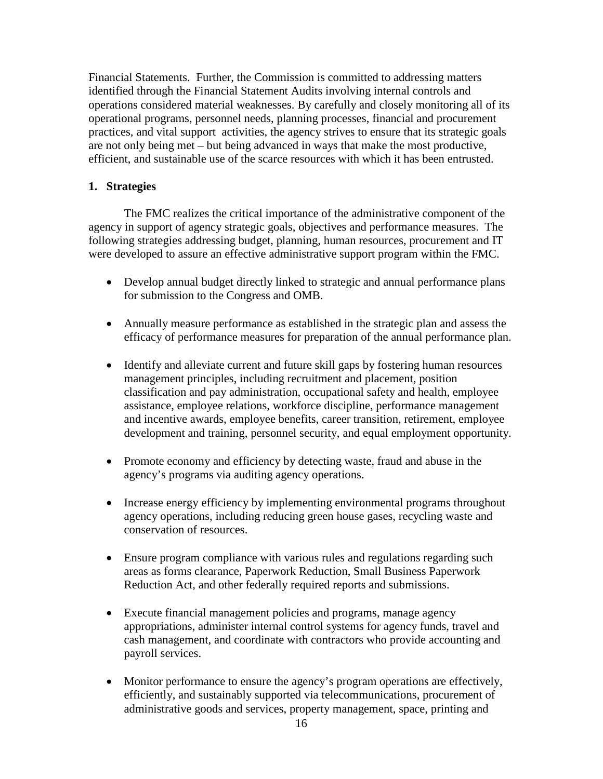Financial Statements. Further, the Commission is committed to addressing matters identified through the Financial Statement Audits involving internal controls and operations considered material weaknesses. By carefully and closely monitoring all of its operational programs, personnel needs, planning processes, financial and procurement practices, and vital support activities, the agency strives to ensure that its strategic goals are not only being met – but being advanced in ways that make the most productive, efficient, and sustainable use of the scarce resources with which it has been entrusted.

## **1. Strategies**

 The FMC realizes the critical importance of the administrative component of the agency in support of agency strategic goals, objectives and performance measures. The following strategies addressing budget, planning, human resources, procurement and IT were developed to assure an effective administrative support program within the FMC.

- Develop annual budget directly linked to strategic and annual performance plans for submission to the Congress and OMB.
- Annually measure performance as established in the strategic plan and assess the efficacy of performance measures for preparation of the annual performance plan.
- Identify and alleviate current and future skill gaps by fostering human resources management principles, including recruitment and placement, position classification and pay administration, occupational safety and health, employee assistance, employee relations, workforce discipline, performance management and incentive awards, employee benefits, career transition, retirement, employee development and training, personnel security, and equal employment opportunity.
- Promote economy and efficiency by detecting waste, fraud and abuse in the agency's programs via auditing agency operations.
- Increase energy efficiency by implementing environmental programs throughout agency operations, including reducing green house gases, recycling waste and conservation of resources.
- Ensure program compliance with various rules and regulations regarding such areas as forms clearance, Paperwork Reduction, Small Business Paperwork Reduction Act, and other federally required reports and submissions.
- Execute financial management policies and programs, manage agency appropriations, administer internal control systems for agency funds, travel and cash management, and coordinate with contractors who provide accounting and payroll services.
- Monitor performance to ensure the agency's program operations are effectively, efficiently, and sustainably supported via telecommunications, procurement of administrative goods and services, property management, space, printing and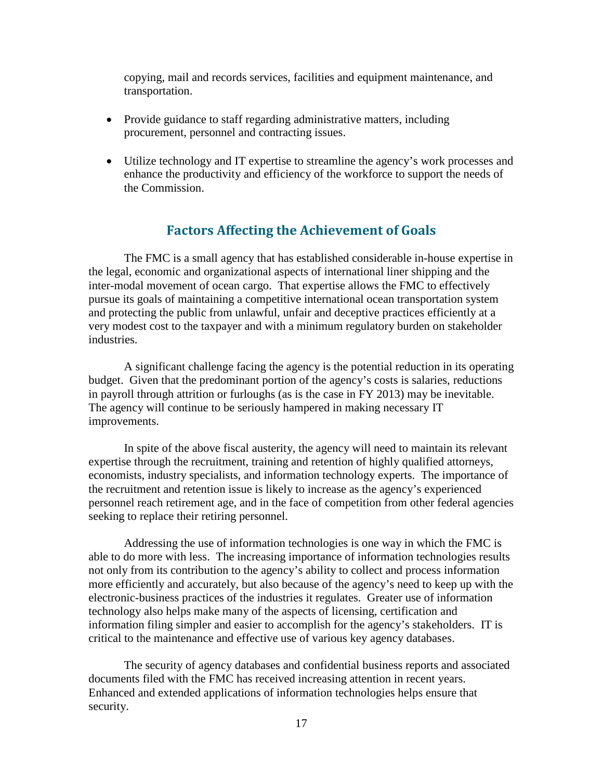copying, mail and records services, facilities and equipment maintenance, and transportation.

- Provide guidance to staff regarding administrative matters, including procurement, personnel and contracting issues.
- Utilize technology and IT expertise to streamline the agency's work processes and enhance the productivity and efficiency of the workforce to support the needs of the Commission.

## **Factors Affecting the Achievement of Goals**

<span id="page-16-0"></span>The FMC is a small agency that has established considerable in-house expertise in the legal, economic and organizational aspects of international liner shipping and the inter-modal movement of ocean cargo. That expertise allows the FMC to effectively pursue its goals of maintaining a competitive international ocean transportation system and protecting the public from unlawful, unfair and deceptive practices efficiently at a very modest cost to the taxpayer and with a minimum regulatory burden on stakeholder industries.

A significant challenge facing the agency is the potential reduction in its operating budget. Given that the predominant portion of the agency's costs is salaries, reductions in payroll through attrition or furloughs (as is the case in FY 2013) may be inevitable. The agency will continue to be seriously hampered in making necessary IT improvements.

In spite of the above fiscal austerity, the agency will need to maintain its relevant expertise through the recruitment, training and retention of highly qualified attorneys, economists, industry specialists, and information technology experts. The importance of the recruitment and retention issue is likely to increase as the agency's experienced personnel reach retirement age, and in the face of competition from other federal agencies seeking to replace their retiring personnel.

 Addressing the use of information technologies is one way in which the FMC is able to do more with less. The increasing importance of information technologies results not only from its contribution to the agency's ability to collect and process information more efficiently and accurately, but also because of the agency's need to keep up with the electronic-business practices of the industries it regulates. Greater use of information technology also helps make many of the aspects of licensing, certification and information filing simpler and easier to accomplish for the agency's stakeholders. IT is critical to the maintenance and effective use of various key agency databases.

The security of agency databases and confidential business reports and associated documents filed with the FMC has received increasing attention in recent years. Enhanced and extended applications of information technologies helps ensure that security.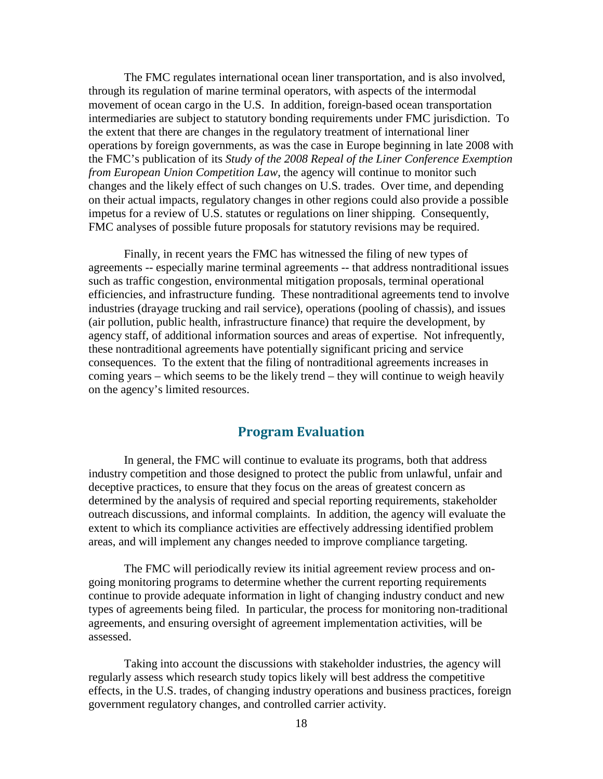The FMC regulates international ocean liner transportation, and is also involved, through its regulation of marine terminal operators, with aspects of the intermodal movement of ocean cargo in the U.S. In addition, foreign-based ocean transportation intermediaries are subject to statutory bonding requirements under FMC jurisdiction. To the extent that there are changes in the regulatory treatment of international liner operations by foreign governments, as was the case in Europe beginning in late 2008 with the FMC's publication of its *Study of the 2008 Repeal of the Liner Conference Exemption from European Union Competition Law*, the agency will continue to monitor such changes and the likely effect of such changes on U.S. trades. Over time, and depending on their actual impacts, regulatory changes in other regions could also provide a possible impetus for a review of U.S. statutes or regulations on liner shipping. Consequently, FMC analyses of possible future proposals for statutory revisions may be required.

 Finally, in recent years the FMC has witnessed the filing of new types of agreements -- especially marine terminal agreements -- that address nontraditional issues such as traffic congestion, environmental mitigation proposals, terminal operational efficiencies, and infrastructure funding. These nontraditional agreements tend to involve industries (drayage trucking and rail service), operations (pooling of chassis), and issues (air pollution, public health, infrastructure finance) that require the development, by agency staff, of additional information sources and areas of expertise. Not infrequently, these nontraditional agreements have potentially significant pricing and service consequences. To the extent that the filing of nontraditional agreements increases in coming years – which seems to be the likely trend – they will continue to weigh heavily on the agency's limited resources.

## **Program Evaluation**

<span id="page-17-0"></span>In general, the FMC will continue to evaluate its programs, both that address industry competition and those designed to protect the public from unlawful, unfair and deceptive practices, to ensure that they focus on the areas of greatest concern as determined by the analysis of required and special reporting requirements, stakeholder outreach discussions, and informal complaints. In addition, the agency will evaluate the extent to which its compliance activities are effectively addressing identified problem areas, and will implement any changes needed to improve compliance targeting.

The FMC will periodically review its initial agreement review process and ongoing monitoring programs to determine whether the current reporting requirements continue to provide adequate information in light of changing industry conduct and new types of agreements being filed. In particular, the process for monitoring non-traditional agreements, and ensuring oversight of agreement implementation activities, will be assessed.

 Taking into account the discussions with stakeholder industries, the agency will regularly assess which research study topics likely will best address the competitive effects, in the U.S. trades, of changing industry operations and business practices, foreign government regulatory changes, and controlled carrier activity.